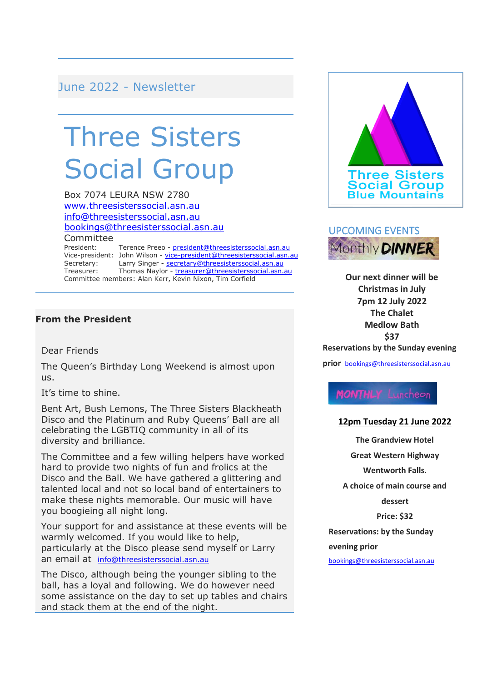June 2022 - Newsletter

# Three Sisters Social Group

Box 7074 LEURA NSW 2780 [www.threesisterssocial.asn.au](http://www.threesisterssocial.asn.au/) [info@threesisterssocial.asn.au](mailto:info@threesisterssocial.asn.au) [bookings@threesisterssocial.asn.au](mailto:bookings@threesisterssocial.asn.au) **Committee** 

President: Terence Preeo - [president@threesisterssocial.asn.au](mailto:president@threesisterssocial.asn.au) Vice-president: John Wilson - [vice-president@threesisterssocial.asn.au](mailto:vice-president@threesisterssocial.asn.au) Secretary: Larry Singer - [secretary@threesisterssocial.asn.au](mailto:secretary@threesisterssocial.asn.au) Treasurer: Thomas Naylor - [treasurer@threesisterssocial.asn.au](mailto:treasurer@threesisterssocial.asn.au) Committee members: Alan Kerr, Kevin Nixon, Tim Corfield

#### **From the President**

Dear Friends

The Queen's Birthday Long Weekend is almost upon us.

It's time to shine.

Bent Art, Bush Lemons, The Three Sisters Blackheath Disco and the Platinum and Ruby Queens' Ball are all celebrating the LGBTIQ community in all of its diversity and brilliance.

The Committee and a few willing helpers have worked hard to provide two nights of fun and frolics at the Disco and the Ball. We have gathered a glittering and talented local and not so local band of entertainers to make these nights memorable. Our music will have you boogieing all night long.

Your support for and assistance at these events will be warmly welcomed. If you would like to help, particularly at the Disco please send myself or Larry an email at <info@threesisterssocial.asn.au>

The Disco, although being the younger sibling to the ball, has a loyal and following. We do however need some assistance on the day to set up tables and chairs and stack them at the end of the night.





**Our next dinner will be Christmas in July 7pm 12 July 2022 The Chalet Medlow Bath \$37**

**Reservations by the Sunday evening** 

**prior** [bookings@threesisterssocial.asn.au](file:///C:/Users/thepr/OneDrive/Documents/three%20sisters/Newsletters/bookings@threesisterssocial.asn.au)

**MONTHLY** Luncheon

#### **12pm Tuesday 21 June 2022**

**The Grandview Hotel Great Western Highway Wentworth Falls. A choice of main course and dessert Price: \$32 Reservations: by the Sunday evening prior**

[bookings@threesisterssocial.asn.au](mailto:bookings@threesisterssocial.asn.au)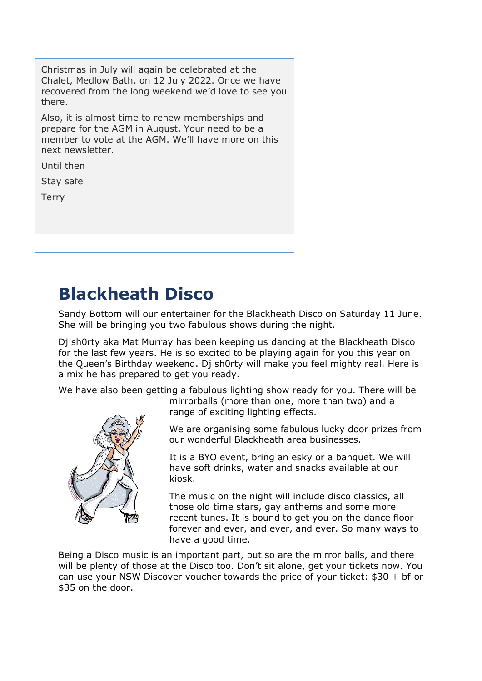Christmas in July will again be celebrated at the Chalet, Medlow Bath, on 12 July 2022. Once we have recovered from the long weekend we'd love to see you there.

Also, it is almost time to renew memberships and prepare for the AGM in August. Your need to be a member to vote at the AGM. We'll have more on this next newsletter.

Until then

Stay safe

**Terry** 

### **Blackheath Disco**

Sandy Bottom will our entertainer for the Blackheath Disco on Saturday 11 June. She will be bringing you two fabulous shows during the night.

Dj sh0rty aka Mat Murray has been keeping us dancing at the Blackheath Disco for the last few years. He is so excited to be playing again for you this year on the Queen's Birthday weekend. Dj sh0rty will make you feel mighty real. Here is a mix he has prepared to get you ready.

We have also been getting a fabulous lighting show ready for you. There will be



mirrorballs (more than one, more than two) and a range of exciting lighting effects.

We are organising some fabulous lucky door prizes from our wonderful Blackheath area businesses.

It is a BYO event, bring an esky or a banquet. We will have soft drinks, water and snacks available at our kiosk.

The music on the night will include disco classics, all those old time stars, gay anthems and some more recent tunes. It is bound to get you on the dance floor forever and ever, and ever, and ever. So many ways to have a good time.

Being a Disco music is an important part, but so are the mirror balls, and there will be plenty of those at the Disco too. Don't sit alone, get your tickets now. You can use your NSW Discover voucher towards the price of your ticket:  $$30 + bf$  or \$35 on the door.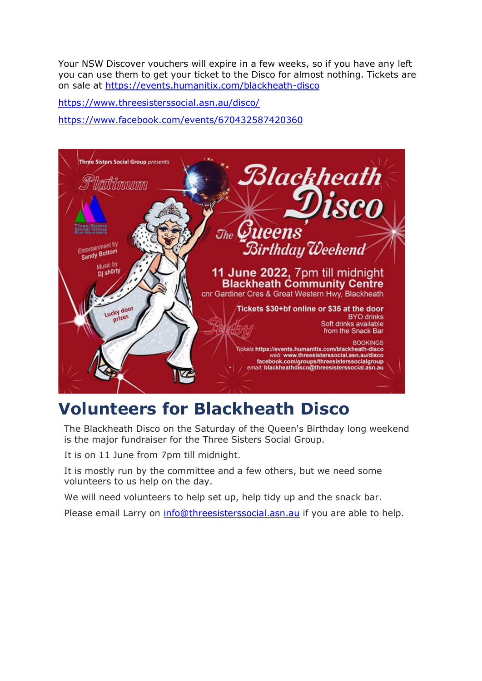Your NSW Discover vouchers will expire in a few weeks, so if you have any left you can use them to get your ticket to the Disco for almost nothing. Tickets are on sale at <https://events.humanitix.com/blackheath-disco>

<https://www.threesisterssocial.asn.au/disco/> <https://www.facebook.com/events/670432587420360>



### **Volunteers for Blackheath Disco**

The Blackheath Disco on the Saturday of the Queen's Birthday long weekend is the major fundraiser for the Three Sisters Social Group.

It is on 11 June from 7pm till midnight.

It is mostly run by the committee and a few others, but we need some volunteers to us help on the day.

We will need volunteers to help set up, help tidy up and the snack bar.

Please email Larry on [info@threesisterssocial.asn.au](mailto:info@threesisterssocial.asn.au) if you are able to help.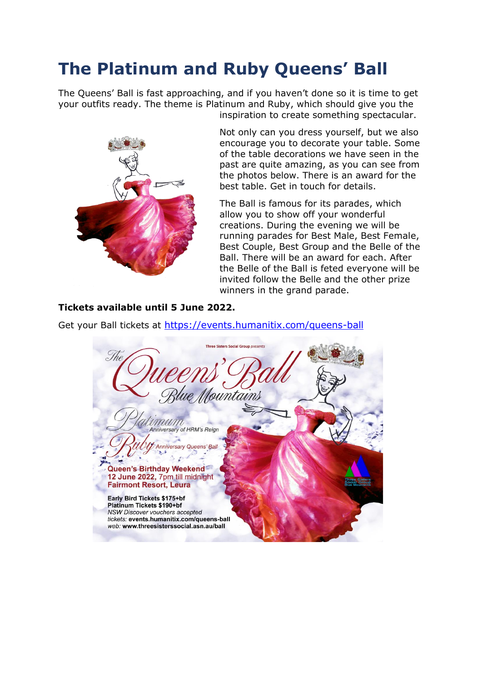### **The Platinum and Ruby Queens' Ball**

The Queens' Ball is fast approaching, and if you haven't done so it is time to get your outfits ready. The theme is Platinum and Ruby, which should give you the inspiration to create something spectacular.



Not only can you dress yourself, but we also encourage you to decorate your table. Some of the table decorations we have seen in the past are quite amazing, as you can see from the photos below. There is an award for the best table. Get in touch for details.

The Ball is famous for its parades, which allow you to show off your wonderful creations. During the evening we will be running parades for Best Male, Best Female, Best Couple, Best Group and the Belle of the Ball. There will be an award for each. After the Belle of the Ball is feted everyone will be invited follow the Belle and the other prize winners in the grand parade.

#### **Tickets available until 5 June 2022.**

Get your Ball tickets at [https://events.humanitix.com/queens-ball](https://events.humanitix.com/queens-ball?fbclid=IwAR1thJlFqDs5gcKvtb5DEi79RrEpKpni3F1UXIIBDJSFYMmUFzSAUaKdpXI)

**Three Sisters Social Group presents** The Countains mun Anniversary of HRM's Reign Anniversary Queens' Ball  $2.5$ Queen's Birthday Weekend 12 June 2022, 7pm till midnight **Fairmont Resort, Leura** Early Bird Tickets \$175+bf Platinum Tickets \$190+bf NSW Discover vouchers accepted tickets: events.humanitix.com/queens-ball web: www.threesisterssocial.asn.au/ball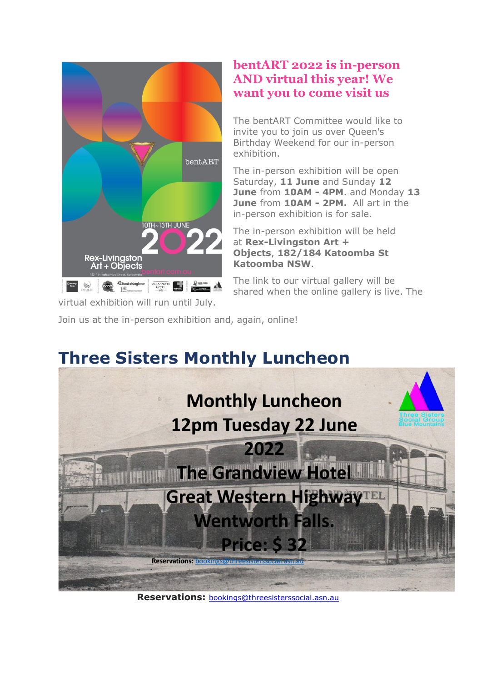

**bentART 2022 is in-person AND virtual this year! We want you to come visit us**

The bentART Committee would like to invite you to join us over Queen's Birthday Weekend for our in-person exhibition.

The in-person exhibition will be open Saturday, **11 June** and Sunday **12 June** from **10AM - 4PM**. and Monday **13 June** from **10AM - 2PM.** All art in the in-person exhibition is for sale.

The in-person exhibition will be held at **Rex-Livingston Art + Objects**, **182/184 Katoomba St Katoomba NSW**.

The link to our virtual gallery will be shared when the online gallery is live. The

virtual exhibition will run until July.

Join us at the in-person exhibition and, again, online!

## **Three Sisters Monthly Luncheon Monthly Luncheon** 12pm Tuesday 22 June 2022 **The Grandview Hotel Great Western HighwayTEL Wentworth Falls. Price: \$32 Reservations: bookings with**

**Reservations:** [bookings@threesisterssocial.asn.au](mailto:bookings@threesisterssocial.asn.au)